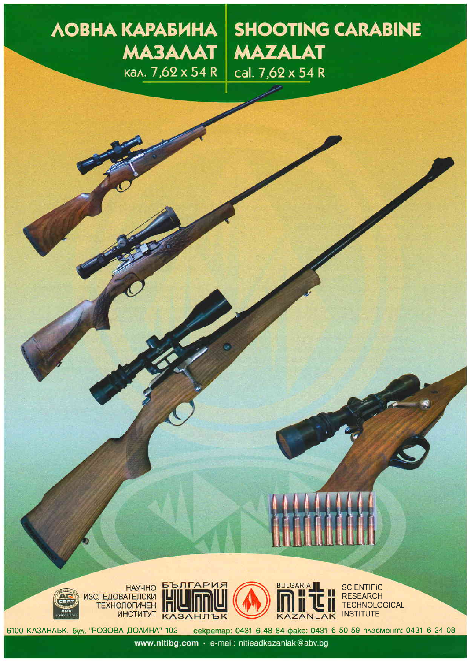# ЛОВНА КАРАБИНА **MA3AAAT** кал. 7,62 x 54 R

**SHOOTING CARABINE MAZALAT** cal. 7,62 x 54 R







**SCIENTIFIC RESEARCH TECHNOLOGICAL INSTITUTE** 

секретар: 0431 6 48 84 факс: 0431 6 50 59 пласмент: 0431 6 24 08 6100 КАЗАНЛЪК, бул. "РОЗОВА ДОЛИНА" 102

www.nitibg.com · e-mail: nitieadkazanlak@abv.bg